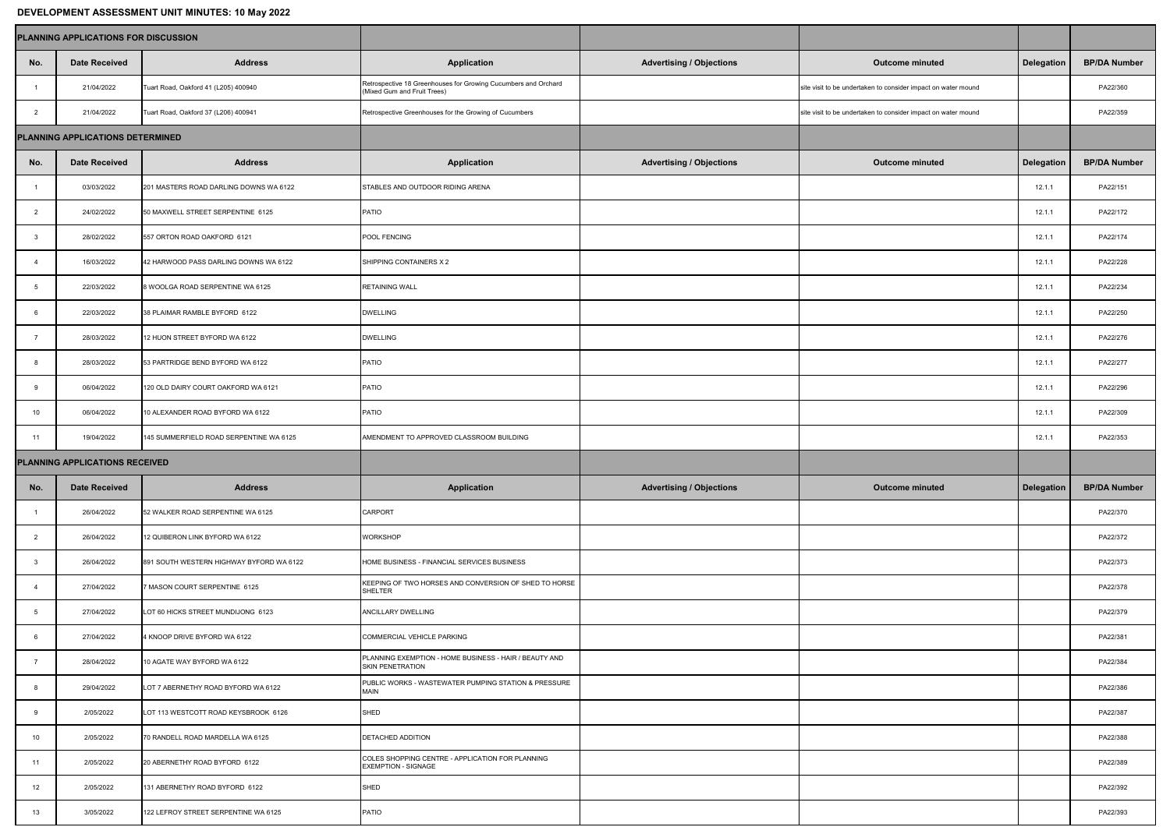## **DEVELOPMENT ASSESSMENT UNIT MINUTES: 10 May 2022**

| <u>PETELOI MENT AOOLOOMENT ONIT MINOTLOI TV MAY AVAA</u> |                      |                                          |                                                                                               |                                 |                                                               |                   |                     |  |  |  |  |  |
|----------------------------------------------------------|----------------------|------------------------------------------|-----------------------------------------------------------------------------------------------|---------------------------------|---------------------------------------------------------------|-------------------|---------------------|--|--|--|--|--|
| <b>PLANNING APPLICATIONS FOR DISCUSSION</b>              |                      |                                          |                                                                                               |                                 |                                                               |                   |                     |  |  |  |  |  |
| No.                                                      | <b>Date Received</b> | <b>Address</b>                           | <b>Application</b>                                                                            | <b>Advertising / Objections</b> | <b>Outcome minuted</b>                                        | <b>Delegation</b> | <b>BP/DA Number</b> |  |  |  |  |  |
|                                                          | 21/04/2022           | Tuart Road, Oakford 41 (L205) 400940     | Retrospective 18 Greenhouses for Growing Cucumbers and Orchard<br>(Mixed Gum and Fruit Trees) |                                 | site visit to be undertaken to consider impact on water mound |                   | PA22/360            |  |  |  |  |  |
|                                                          | 21/04/2022           | Tuart Road, Oakford 37 (L206) 400941     | Retrospective Greenhouses for the Growing of Cucumbers                                        |                                 | site visit to be undertaken to consider impact on water mound |                   | PA22/359            |  |  |  |  |  |
| <b>PLANNING APPLICATIONS DETERMINED</b>                  |                      |                                          |                                                                                               |                                 |                                                               |                   |                     |  |  |  |  |  |
| No.                                                      | <b>Date Received</b> | <b>Address</b>                           | <b>Application</b>                                                                            | <b>Advertising / Objections</b> | <b>Outcome minuted</b>                                        | <b>Delegation</b> | <b>BP/DA Number</b> |  |  |  |  |  |
|                                                          | 03/03/2022           | 201 MASTERS ROAD DARLING DOWNS WA 6122   | STABLES AND OUTDOOR RIDING ARENA                                                              |                                 |                                                               | 12.1.1            | PA22/151            |  |  |  |  |  |
|                                                          | 24/02/2022           | 50 MAXWELL STREET SERPENTINE 6125        | PATIO                                                                                         |                                 |                                                               | 12.1.1            | PA22/172            |  |  |  |  |  |
|                                                          | 28/02/2022           | 557 ORTON ROAD OAKFORD 6121              | POOL FENCING                                                                                  |                                 |                                                               | 12.1.1            | PA22/174            |  |  |  |  |  |
|                                                          | 16/03/2022           | 42 HARWOOD PASS DARLING DOWNS WA 6122    | SHIPPING CONTAINERS X 2                                                                       |                                 |                                                               | 12.1.1            | PA22/228            |  |  |  |  |  |
|                                                          | 22/03/2022           | 8 WOOLGA ROAD SERPENTINE WA 6125         | <b>RETAINING WALL</b>                                                                         |                                 |                                                               | 12.1.1            | PA22/234            |  |  |  |  |  |
|                                                          | 22/03/2022           | 38 PLAIMAR RAMBLE BYFORD 6122            | <b>DWELLING</b>                                                                               |                                 |                                                               | 12.1.1            | PA22/250            |  |  |  |  |  |
|                                                          | 28/03/2022           | 12 HUON STREET BYFORD WA 6122            | <b>DWELLING</b>                                                                               |                                 |                                                               | 12.1.1            | PA22/276            |  |  |  |  |  |
|                                                          | 28/03/2022           | 53 PARTRIDGE BEND BYFORD WA 6122         | PATIO                                                                                         |                                 |                                                               | 12.1.1            | PA22/277            |  |  |  |  |  |
| -9                                                       | 06/04/2022           | 120 OLD DAIRY COURT OAKFORD WA 6121      | PATIO                                                                                         |                                 |                                                               | 12.1.1            | PA22/296            |  |  |  |  |  |
| 10                                                       | 06/04/2022           | 10 ALEXANDER ROAD BYFORD WA 6122         | PATIO                                                                                         |                                 |                                                               | 12.1.1            | PA22/309            |  |  |  |  |  |
| 11                                                       | 19/04/2022           | 145 SUMMERFIELD ROAD SERPENTINE WA 6125  | AMENDMENT TO APPROVED CLASSROOM BUILDING                                                      |                                 |                                                               | 12.1.1            | PA22/353            |  |  |  |  |  |
| <b>PLANNING APPLICATIONS RECEIVED</b>                    |                      |                                          |                                                                                               |                                 |                                                               |                   |                     |  |  |  |  |  |
| No.                                                      | <b>Date Received</b> | <b>Address</b>                           | <b>Application</b>                                                                            | <b>Advertising / Objections</b> | <b>Outcome minuted</b>                                        | <b>Delegation</b> | <b>BP/DA Number</b> |  |  |  |  |  |
|                                                          | 26/04/2022           | 52 WALKER ROAD SERPENTINE WA 6125        | <b>CARPORT</b>                                                                                |                                 |                                                               |                   | PA22/370            |  |  |  |  |  |
|                                                          | 26/04/2022           | 12 QUIBERON LINK BYFORD WA 6122          | <b>WORKSHOP</b>                                                                               |                                 |                                                               |                   | PA22/372            |  |  |  |  |  |
|                                                          | 26/04/2022           | 891 SOUTH WESTERN HIGHWAY BYFORD WA 6122 | HOME BUSINESS - FINANCIAL SERVICES BUSINESS                                                   |                                 |                                                               |                   | PA22/373            |  |  |  |  |  |
|                                                          | 27/04/2022           | 7 MASON COURT SERPENTINE 6125            | KEEPING OF TWO HORSES AND CONVERSION OF SHED TO HORSE<br>SHELTER                              |                                 |                                                               |                   | PA22/378            |  |  |  |  |  |
|                                                          | 27/04/2022           | LOT 60 HICKS STREET MUNDIJONG 6123       | <b>ANCILLARY DWELLING</b>                                                                     |                                 |                                                               |                   | PA22/379            |  |  |  |  |  |
|                                                          | 27/04/2022           | 4 KNOOP DRIVE BYFORD WA 6122             | COMMERCIAL VEHICLE PARKING                                                                    |                                 |                                                               |                   | PA22/381            |  |  |  |  |  |
|                                                          | 28/04/2022           | 10 AGATE WAY BYFORD WA 6122              | PLANNING EXEMPTION - HOME BUSINESS - HAIR / BEAUTY AND<br>SKIN PENETRATION                    |                                 |                                                               |                   | PA22/384            |  |  |  |  |  |
|                                                          | 29/04/2022           | LOT 7 ABERNETHY ROAD BYFORD WA 6122      | PUBLIC WORKS - WASTEWATER PUMPING STATION & PRESSURE<br><b>MAIN</b>                           |                                 |                                                               |                   | PA22/386            |  |  |  |  |  |
|                                                          | 2/05/2022            | LOT 113 WESTCOTT ROAD KEYSBROOK 6126     | SHED                                                                                          |                                 |                                                               |                   | PA22/387            |  |  |  |  |  |
| 10                                                       | 2/05/2022            | 70 RANDELL ROAD MARDELLA WA 6125         | <b>DETACHED ADDITION</b>                                                                      |                                 |                                                               |                   | PA22/388            |  |  |  |  |  |
| 11                                                       | 2/05/2022            | 20 ABERNETHY ROAD BYFORD 6122            | COLES SHOPPING CENTRE - APPLICATION FOR PLANNING<br><b>EXEMPTION - SIGNAGE</b>                |                                 |                                                               |                   | PA22/389            |  |  |  |  |  |
| 12                                                       | 2/05/2022            | 131 ABERNETHY ROAD BYFORD 6122           | SHED                                                                                          |                                 |                                                               |                   | PA22/392            |  |  |  |  |  |
| 13                                                       | 3/05/2022            | 122 LEFROY STREET SERPENTINE WA 6125     | PATIO                                                                                         |                                 |                                                               |                   | PA22/393            |  |  |  |  |  |